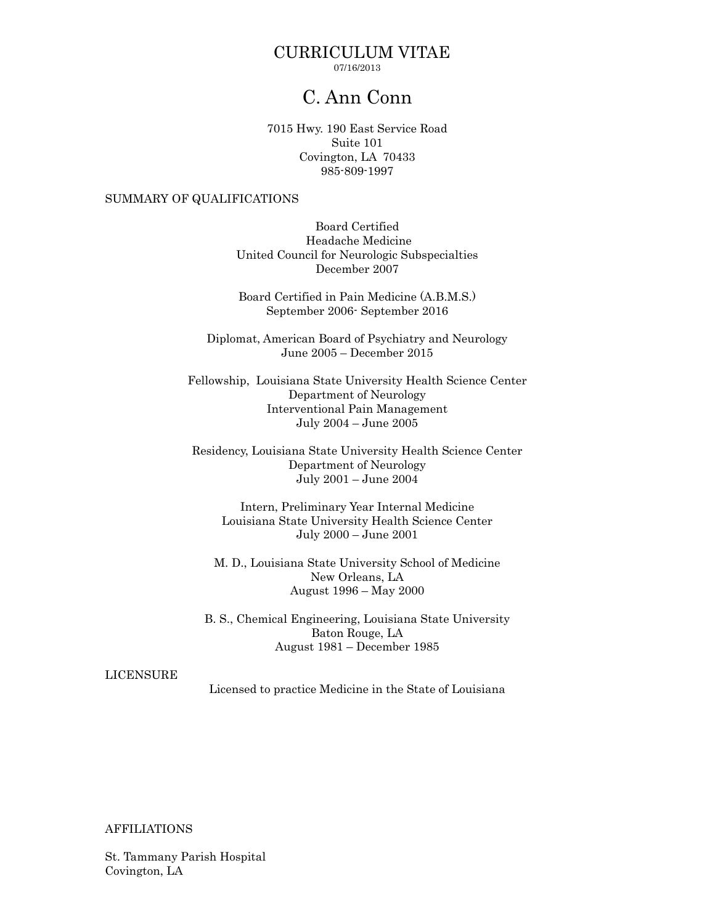## CURRICULUM VITAE 07/16/2013

# C. Ann Conn

7015 Hwy. 190 East Service Road Suite 101 Covington, LA 70433 985-809-1997

# SUMMARY OF QUALIFICATIONS

Board Certified Headache Medicine United Council for Neurologic Subspecialties December 2007

Board Certified in Pain Medicine (A.B.M.S.) September 2006- September 2016

Diplomat, American Board of Psychiatry and Neurology June 2005 – December 2015

Fellowship, Louisiana State University Health Science Center Department of Neurology Interventional Pain Management July 2004 – June 2005

Residency, Louisiana State University Health Science Center Department of Neurology July 2001 – June 2004

Intern, Preliminary Year Internal Medicine Louisiana State University Health Science Center July 2000 – June 2001

M. D., Louisiana State University School of Medicine New Orleans, LA August 1996 – May 2000

B. S., Chemical Engineering, Louisiana State University Baton Rouge, LA August 1981 – December 1985

# LICENSURE

Licensed to practice Medicine in the State of Louisiana

## AFFILIATIONS

St. Tammany Parish Hospital Covington, LA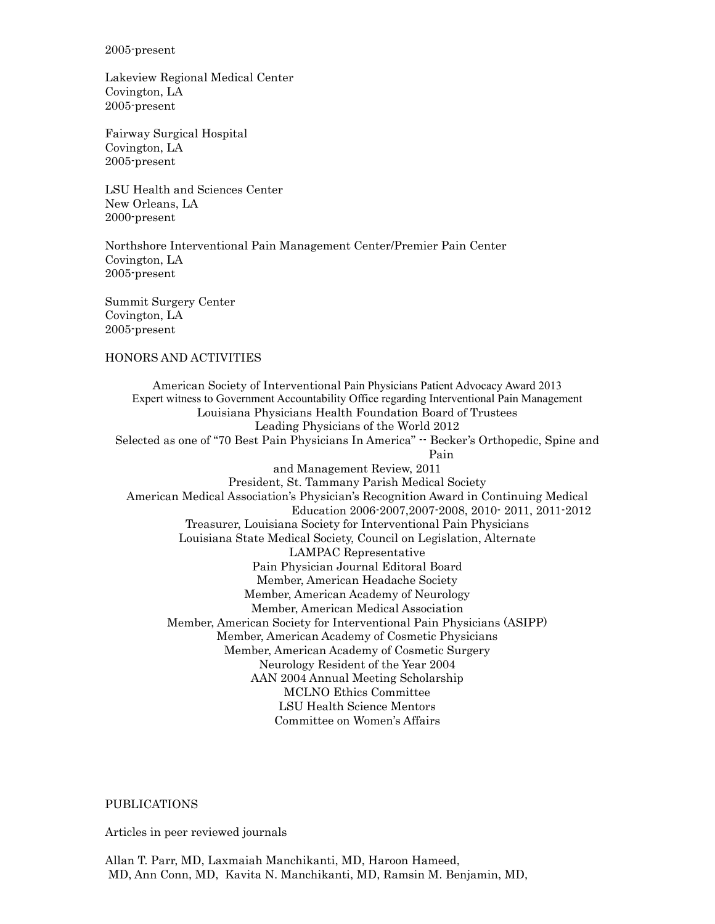#### 2005-present

Lakeview Regional Medical Center Covington, LA 2005-present

Fairway Surgical Hospital Covington, LA 2005-present

LSU Health and Sciences Center New Orleans, LA 2000-present

Northshore Interventional Pain Management Center/Premier Pain Center Covington, LA 2005-present

Summit Surgery Center Covington, LA 2005-present

#### HONORS AND ACTIVITIES

American Society of Interventional Pain Physicians Patient Advocacy Award 2013 Expert witness to Government Accountability Office regarding Interventional Pain Management Louisiana Physicians Health Foundation Board of Trustees Leading Physicians of the World 2012 Selected as one of "70 Best Pain Physicians In America" -- Becker's Orthopedic, Spine and Pain and Management Review, 2011 President, St. Tammany Parish Medical Society American Medical Association's Physician's Recognition Award in Continuing Medical Education 2006-2007,2007-2008, 2010- 2011, 2011-2012 Treasurer, Louisiana Society for Interventional Pain Physicians Louisiana State Medical Society, Council on Legislation, Alternate LAMPAC Representative Pain Physician Journal Editoral Board Member, American Headache Society Member, American Academy of Neurology Member, American Medical Association Member, American Society for Interventional Pain Physicians (ASIPP) Member, American Academy of Cosmetic Physicians Member, American Academy of Cosmetic Surgery Neurology Resident of the Year 2004 AAN 2004 Annual Meeting Scholarship MCLNO Ethics Committee LSU Health Science Mentors Committee on Women's Affairs

#### PUBLICATIONS

Articles in peer reviewed journals

Allan T. Parr, MD, Laxmaiah Manchikanti, MD, Haroon Hameed, MD, Ann Conn, MD, Kavita N. Manchikanti, MD, Ramsin M. Benjamin, MD,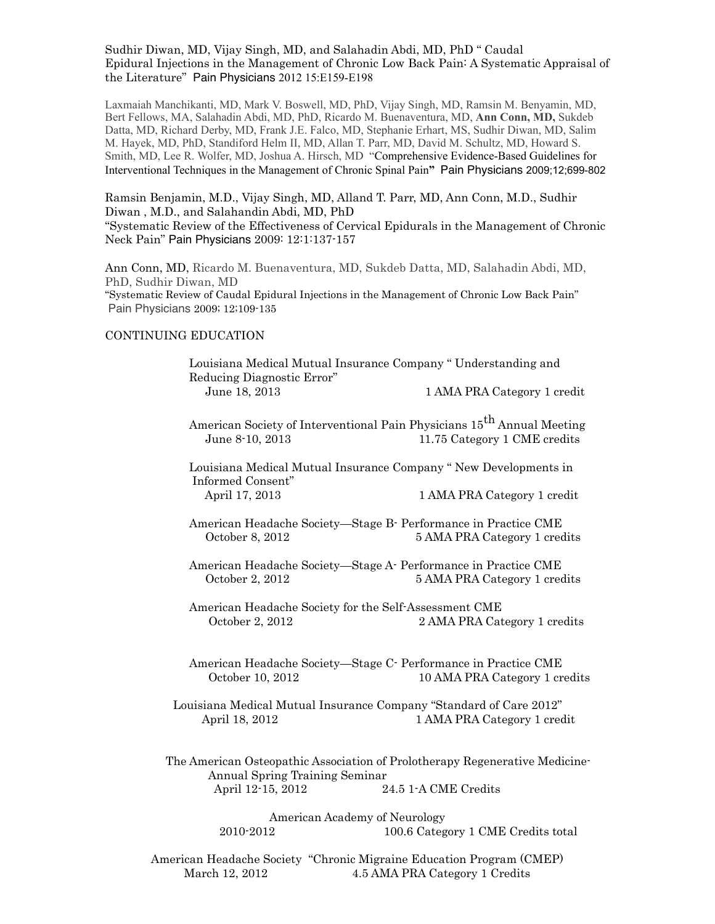## Sudhir Diwan, MD, Vijay Singh, MD, and Salahadin Abdi, MD, PhD " Caudal Epidural Injections in the Management of Chronic Low Back Pain: A Systematic Appraisal of the Literature" Pain Physicians 2012 15:E159-E198

Laxmaiah Manchikanti, MD, Mark V. Boswell, MD, PhD, Vijay Singh, MD, Ramsin M. Benyamin, MD, Bert Fellows, MA, Salahadin Abdi, MD, PhD, Ricardo M. Buenaventura, MD, **Ann Conn, MD,** Sukdeb Datta, MD, Richard Derby, MD, Frank J.E. Falco, MD, Stephanie Erhart, MS, Sudhir Diwan, MD, Salim M. Hayek, MD, PhD, Standiford Helm II, MD, Allan T. Parr, MD, David M. Schultz, MD, Howard S. Smith, MD, Lee R. Wolfer, MD, Joshua A. Hirsch, MD "Comprehensive Evidence-Based Guidelines for Interventional Techniques in the Management of Chronic Spinal Pain**"** Pain Physicians 2009;12;699-802

Ramsin Benjamin, M.D., Vijay Singh, MD, Alland T. Parr, MD, Ann Conn, M.D., Sudhir Diwan , M.D., and Salahandin Abdi, MD, PhD "Systematic Review of the Effectiveness of Cervical Epidurals in the Management of Chronic Neck Pain" Pain Physicians 2009: 12:1:137-157

Ann Conn, MD, Ricardo M. Buenaventura, MD, Sukdeb Datta, MD, Salahadin Abdi, MD, PhD, Sudhir Diwan, MD "Systematic Review of Caudal Epidural Injections in the Management of Chronic Low Back Pain" Pain Physicians 2009; 12;109-135

#### CONTINUING EDUCATION

Louisiana Medical Mutual Insurance Company " Understanding and Reducing Diagnostic Error" June 18, 2013 1 AMA PRA Category 1 credit

American Society of Interventional Pain Physicians 15<sup>th</sup> Annual Meeting June 8-10, 2013 11.75 Category 1 CME credits

Louisiana Medical Mutual Insurance Company " New Developments in Informed Consent" April 17, 2013 1 AMA PRA Category 1 credit

- American Headache Society—Stage B- Performance in Practice CME October 8, 2012 5 AMA PRA Category 1 credits
- American Headache Society—Stage A- Performance in Practice CME October 2, 2012 5 AMA PRA Category 1 credits

American Headache Society for the Self-Assessment CME October 2, 2012 2 AMA PRA Category 1 credits

American Headache Society—Stage C- Performance in Practice CME October 10, 2012 10 AMA PRA Category 1 credits

 Louisiana Medical Mutual Insurance Company "Standard of Care 2012" April 18, 2012 1 AMA PRA Category 1 credit

The American Osteopathic Association of Prolotherapy Regenerative Medicine- Annual Spring Training Seminar April 12-15, 2012 24.5 1-A CME Credits

> American Academy of Neurology 2010-2012 100.6 Category 1 CME Credits total

American Headache Society "Chronic Migraine Education Program (CMEP) March 12, 2012 4.5 AMA PRA Category 1 Credits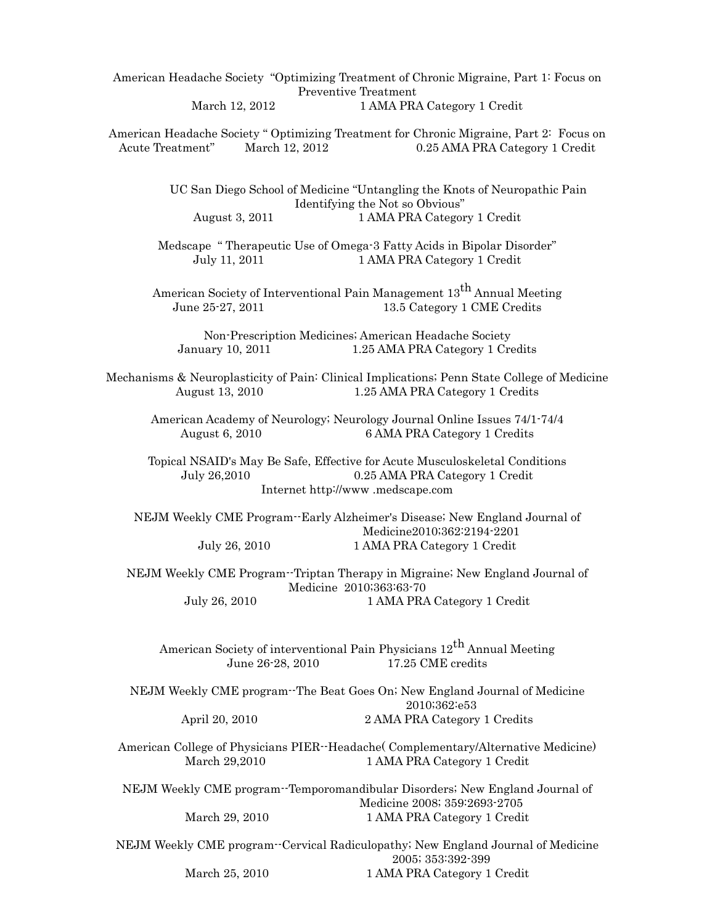American Headache Society "Optimizing Treatment of Chronic Migraine, Part 1: Focus on Preventive Treatment March 12, 2012 1 AMA PRA Category 1 Credit

American Headache Society " Optimizing Treatment for Chronic Migraine, Part 2: Focus on Acute Treatment" March 12, 2012 0.25 AMA PRA Category 1 Credit

> UC San Diego School of Medicine "Untangling the Knots of Neuropathic Pain Identifying the Not so Obvious" August 3, 2011 1 AMA PRA Category 1 Credit

Medscape " Therapeutic Use of Omega-3 Fatty Acids in Bipolar Disorder" July 11, 2011 1 AMA PRA Category 1 Credit

American Society of Interventional Pain Management  $13^{th}$  Annual Meeting June 25-27, 2011 13.5 Category 1 CME Credits

Non-Prescription Medicines; American Headache Society January 10, 2011 1.25 AMA PRA Category 1 Credits

Mechanisms & Neuroplasticity of Pain: Clinical Implications; Penn State College of Medicine August 13, 2010 1.25 AMA PRA Category 1 Credits

American Academy of Neurology; Neurology Journal Online Issues 74/1-74/4 August 6, 2010 6 AMA PRA Category 1 Credits

Topical NSAID's May Be Safe, Effective for Acute Musculoskeletal Conditions July 26,2010 0.25 AMA PRA Category 1 Credit Internet http://www .medscape.com

NEJM Weekly CME Program--Early Alzheimer's Disease; New England Journal of Medicine2010;362:2194-2201 July 26, 2010 1 AMA PRA Category 1 Credit

NEJM Weekly CME Program--Triptan Therapy in Migraine; New England Journal of Medicine 2010;363:63-70 July 26, 2010 1 AMA PRA Category 1 Credit

American Society of interventional Pain Physicians  $12^{th}$  Annual Meeting June 26-28, 2010 17.25 CME credits

NEJM Weekly CME program--The Beat Goes On; New England Journal of Medicine 2010;362:e53 April 20, 2010 2 AMA PRA Category 1 Credits

American College of Physicians PIER--Headache( Complementary/Alternative Medicine) March 29,2010 1 AMA PRA Category 1 Credit

NEJM Weekly CME program--Temporomandibular Disorders; New England Journal of Medicine 2008; 359:2693-2705 March 29, 2010 1 AMA PRA Category 1 Credit

NEJM Weekly CME program--Cervical Radiculopathy; New England Journal of Medicine 2005; 353:392-399 March 25, 2010 1 AMA PRA Category 1 Credit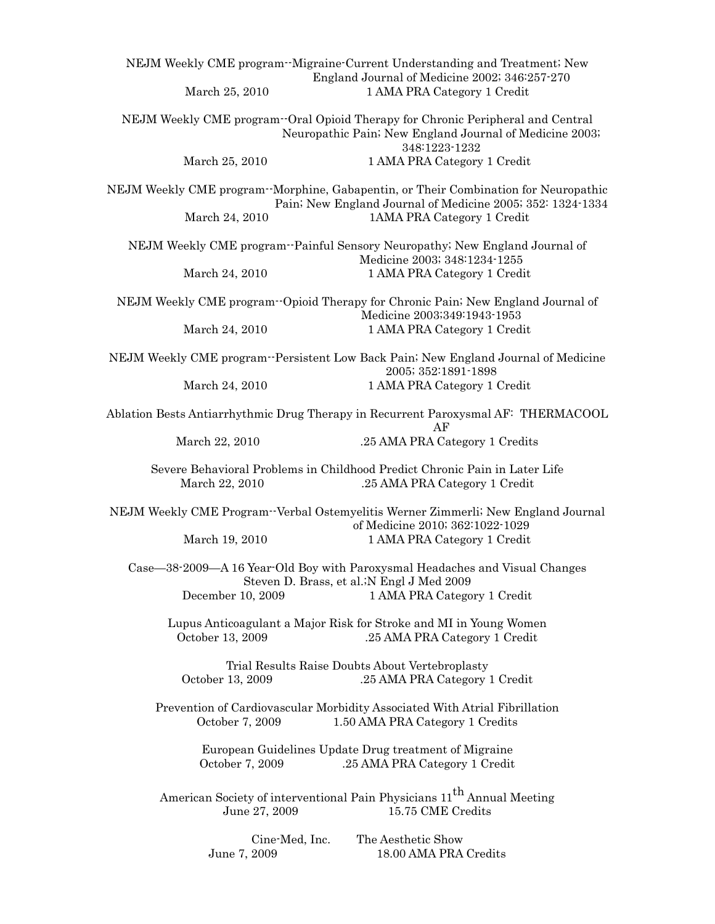|                                                                                         | NEJM Weekly CME program--Migraine-Current Understanding and Treatment; New                                                                                                     |
|-----------------------------------------------------------------------------------------|--------------------------------------------------------------------------------------------------------------------------------------------------------------------------------|
| March 25, 2010                                                                          | England Journal of Medicine 2002; 346:257-270<br>1 AMA PRA Category 1 Credit                                                                                                   |
|                                                                                         | NEJM Weekly CME program - Oral Opioid Therapy for Chronic Peripheral and Central<br>Neuropathic Pain; New England Journal of Medicine 2003;<br>348:1223-1232                   |
| March 25, 2010                                                                          | 1 AMA PRA Category 1 Credit                                                                                                                                                    |
| March 24, 2010                                                                          | NEJM Weekly CME program-Morphine, Gabapentin, or Their Combination for Neuropathic<br>Pain; New England Journal of Medicine 2005; 352: 1324-1334<br>1AMA PRA Category 1 Credit |
|                                                                                         | NEJM Weekly CME program--Painful Sensory Neuropathy; New England Journal of                                                                                                    |
| March 24, 2010                                                                          | Medicine 2003; 348:1234-1255<br>1 AMA PRA Category 1 Credit                                                                                                                    |
| March 24, 2010                                                                          | NEJM Weekly CME program - Opioid Therapy for Chronic Pain; New England Journal of<br>Medicine 2003;349:1943-1953<br>1 AMA PRA Category 1 Credit                                |
|                                                                                         |                                                                                                                                                                                |
|                                                                                         | NEJM Weekly CME program - Persistent Low Back Pain; New England Journal of Medicine<br>2005; 352:1891-1898                                                                     |
| March 24, 2010                                                                          | 1 AMA PRA Category 1 Credit                                                                                                                                                    |
| Ablation Bests Antiarrhythmic Drug Therapy in Recurrent Paroxysmal AF: THERMACOOL<br>AF |                                                                                                                                                                                |
| March 22, 2010                                                                          | .25 AMA PRA Category 1 Credits                                                                                                                                                 |
| March 22, 2010                                                                          | Severe Behavioral Problems in Childhood Predict Chronic Pain in Later Life<br>.25 AMA PRA Category 1 Credit                                                                    |
|                                                                                         | NEJM Weekly CME Program-Verbal Ostemyelitis Werner Zimmerli; New England Journal<br>of Medicine 2010; 362:1022-1029                                                            |
| March 19, 2010                                                                          | 1 AMA PRA Category 1 Credit                                                                                                                                                    |
| December 10, 2009                                                                       | Case—38-2009—A 16 Year-Old Boy with Paroxysmal Headaches and Visual Changes<br>Steven D. Brass, et al.; N Engl J Med 2009<br>1 AMA PRA Category 1 Credit                       |
|                                                                                         |                                                                                                                                                                                |
| October 13, 2009                                                                        | Lupus Anticoagulant a Major Risk for Stroke and MI in Young Women<br>.25 AMA PRA Category 1 Credit                                                                             |
| October 13, 2009                                                                        | Trial Results Raise Doubts About Vertebroplasty<br>.25 AMA PRA Category 1 Credit                                                                                               |
| October 7, 2009                                                                         | Prevention of Cardiovascular Morbidity Associated With Atrial Fibrillation<br>1.50 AMA PRA Category 1 Credits                                                                  |
| October 7, 2009                                                                         | European Guidelines Update Drug treatment of Migraine<br>.25 AMA PRA Category 1 Credit                                                                                         |
| June 27, 2009                                                                           | American Society of interventional Pain Physicians 11 <sup>th</sup> Annual Meeting<br>15.75 CME Credits                                                                        |
| Cine-Med, Inc.<br>June 7, 2009                                                          | The Aesthetic Show<br>18.00 AMA PRA Credits                                                                                                                                    |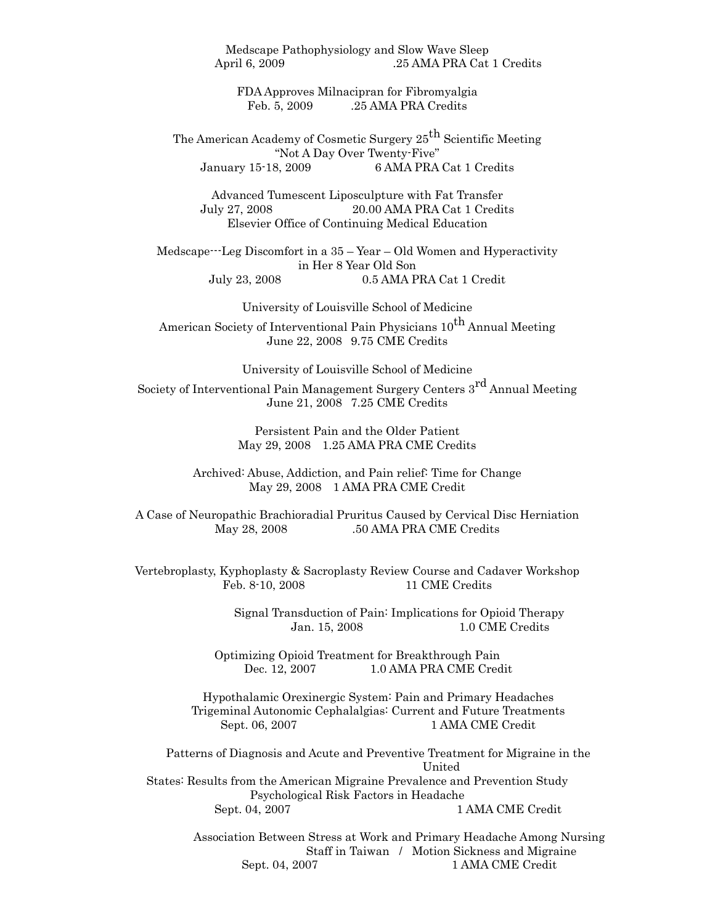Medscape Pathophysiology and Slow Wave Sleep April 6, 2009 .25 AMA PRA Cat 1 Credits

FDA Approves Milnacipran for Fibromyalgia Feb. 5, 2009 .25 AMA PRA Credits

The American Academy of Cosmetic Surgery 25<sup>th</sup> Scientific Meeting "Not A Day Over Twenty-Five" January 15-18, 2009 6 AMA PRA Cat 1 Credits

Advanced Tumescent Liposculpture with Fat Transfer July 27, 2008 20.00 AMA PRA Cat 1 Credits Elsevier Office of Continuing Medical Education

Medscape---Leg Discomfort in a 35 – Year – Old Women and Hyperactivity in Her 8 Year Old Son July 23, 2008 0.5 AMA PRA Cat 1 Credit

University of Louisville School of Medicine

American Society of Interventional Pain Physicians 10<sup>th</sup> Annual Meeting June 22, 2008 9.75 CME Credits

University of Louisville School of Medicine

Society of Interventional Pain Management Surgery Centers 3rd Annual Meeting June 21, 2008 7.25 CME Credits

> Persistent Pain and the Older Patient May 29, 2008 1.25 AMA PRA CME Credits

Archived: Abuse, Addiction, and Pain relief: Time for Change May 29, 2008 1 AMA PRA CME Credit

A Case of Neuropathic Brachioradial Pruritus Caused by Cervical Disc Herniation May 28, 2008 .50 AMA PRA CME Credits

Vertebroplasty, Kyphoplasty & Sacroplasty Review Course and Cadaver Workshop Feb. 8-10, 2008 11 CME Credits

> Signal Transduction of Pain: Implications for Opioid Therapy Jan. 15, 2008 1.0 CME Credits

Optimizing Opioid Treatment for Breakthrough Pain Dec. 12, 2007 1.0 AMA PRA CME Credit

Hypothalamic Orexinergic System: Pain and Primary Headaches Trigeminal Autonomic Cephalalgias: Current and Future Treatments Sept. 06, 2007 1 AMA CME Credit

Patterns of Diagnosis and Acute and Preventive Treatment for Migraine in the United States: Results from the American Migraine Prevalence and Prevention Study Psychological Risk Factors in Headache Sept. 04, 2007 1 AMA CME Credit

> Association Between Stress at Work and Primary Headache Among Nursing Staff in Taiwan / Motion Sickness and Migraine Sept. 04, 2007 1 AMA CME Credit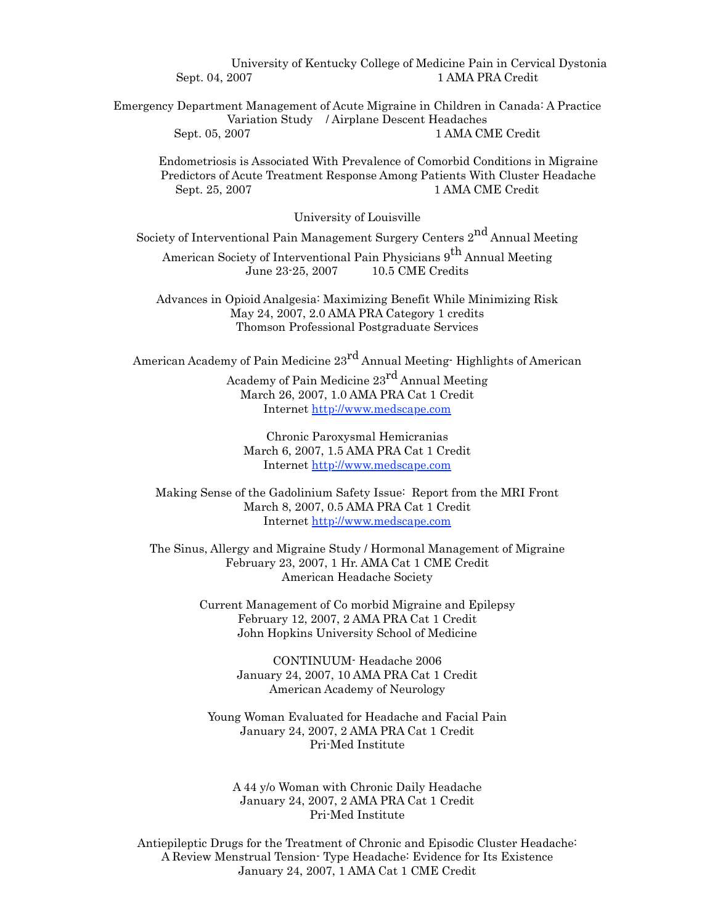University of Kentucky College of Medicine Pain in Cervical Dystonia Sept. 04, 2007 1 AMA PRA Credit

Emergency Department Management of Acute Migraine in Children in Canada: A Practice Variation Study / Airplane Descent Headaches Sept. 05, 2007 1 AMA CME Credit

Endometriosis is Associated With Prevalence of Comorbid Conditions in Migraine Predictors of Acute Treatment Response Among Patients With Cluster Headache Sept. 25, 2007 1 AMA CME Credit

University of Louisville

Society of Interventional Pain Management Surgery Centers 2nd Annual Meeting

American Society of Interventional Pain Physicians 9<sup>th</sup> Annual Meeting June 23-25, 2007 10.5 CME Credits

Advances in Opioid Analgesia: Maximizing Benefit While Minimizing Risk May 24, 2007, 2.0 AMA PRA Category 1 credits Thomson Professional Postgraduate Services

American Academy of Pain Medicine  $23^{rd}$  Annual Meeting-Highlights of American

Academy of Pain Medicine 23rd Annual Meeting March 26, 2007, 1.0 AMA PRA Cat 1 Credit Internet http://www.medscape.com

Chronic Paroxysmal Hemicranias March 6, 2007, 1.5 AMA PRA Cat 1 Credit Internet http://www.medscape.com

Making Sense of the Gadolinium Safety Issue: Report from the MRI Front March 8, 2007, 0.5 AMA PRA Cat 1 Credit Internet http://www.medscape.com

The Sinus, Allergy and Migraine Study / Hormonal Management of Migraine February 23, 2007, 1 Hr. AMA Cat 1 CME Credit American Headache Society

> Current Management of Co morbid Migraine and Epilepsy February 12, 2007, 2 AMA PRA Cat 1 Credit John Hopkins University School of Medicine

> > CONTINUUM- Headache 2006 January 24, 2007, 10 AMA PRA Cat 1 Credit American Academy of Neurology

Young Woman Evaluated for Headache and Facial Pain January 24, 2007, 2 AMA PRA Cat 1 Credit Pri-Med Institute

A 44 y/o Woman with Chronic Daily Headache January 24, 2007, 2 AMA PRA Cat 1 Credit Pri-Med Institute

Antiepileptic Drugs for the Treatment of Chronic and Episodic Cluster Headache: A Review Menstrual Tension- Type Headache: Evidence for Its Existence January 24, 2007, 1 AMA Cat 1 CME Credit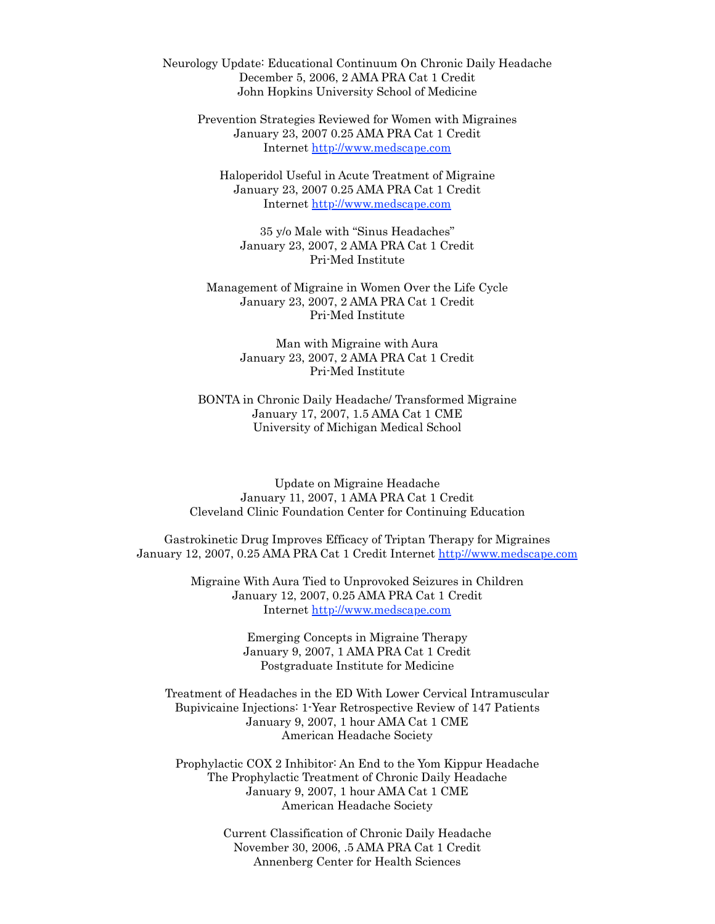Neurology Update: Educational Continuum On Chronic Daily Headache December 5, 2006, 2 AMA PRA Cat 1 Credit John Hopkins University School of Medicine

Prevention Strategies Reviewed for Women with Migraines January 23, 2007 0.25 AMA PRA Cat 1 Credit Internet<http://www.medscape.com>

Haloperidol Useful in Acute Treatment of Migraine January 23, 2007 0.25 AMA PRA Cat 1 Credit Internet<http://www.medscape.com>

35 y/o Male with "Sinus Headaches" January 23, 2007, 2 AMA PRA Cat 1 Credit Pri-Med Institute

Management of Migraine in Women Over the Life Cycle January 23, 2007, 2 AMA PRA Cat 1 Credit Pri-Med Institute

> Man with Migraine with Aura January 23, 2007, 2 AMA PRA Cat 1 Credit Pri-Med Institute

BONTA in Chronic Daily Headache/ Transformed Migraine January 17, 2007, 1.5 AMA Cat 1 CME University of Michigan Medical School

Update on Migraine Headache January 11, 2007, 1 AMA PRA Cat 1 Credit Cleveland Clinic Foundation Center for Continuing Education

Gastrokinetic Drug Improves Efficacy of Triptan Therapy for Migraines January 12, 2007, 0.25 AMA PRA Cat 1 Credit Internet http://www.medscape.com

> Migraine With Aura Tied to Unprovoked Seizures in Children January 12, 2007, 0.25 AMA PRA Cat 1 Credit Internet http://www.medscape.com

> > Emerging Concepts in Migraine Therapy January 9, 2007, 1 AMA PRA Cat 1 Credit Postgraduate Institute for Medicine

Treatment of Headaches in the ED With Lower Cervical Intramuscular Bupivicaine Injections: 1-Year Retrospective Review of 147 Patients January 9, 2007, 1 hour AMA Cat 1 CME American Headache Society

Prophylactic COX 2 Inhibitor: An End to the Yom Kippur Headache The Prophylactic Treatment of Chronic Daily Headache January 9, 2007, 1 hour AMA Cat 1 CME American Headache Society

> Current Classification of Chronic Daily Headache November 30, 2006, .5 AMA PRA Cat 1 Credit Annenberg Center for Health Sciences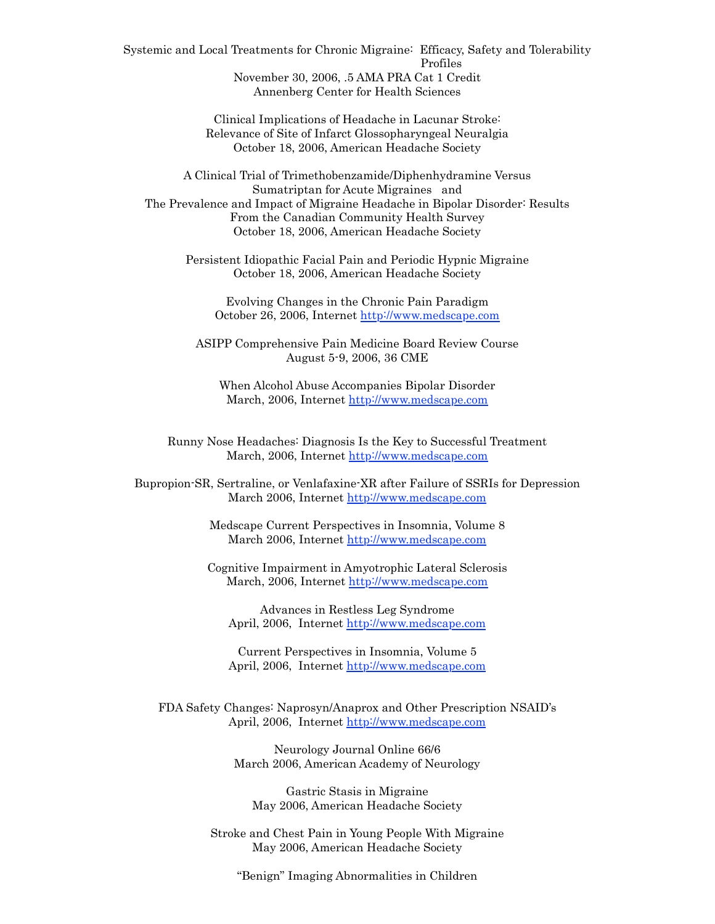Systemic and Local Treatments for Chronic Migraine: Efficacy, Safety and Tolerability Profiles November 30, 2006, .5 AMA PRA Cat 1 Credit Annenberg Center for Health Sciences

> Clinical Implications of Headache in Lacunar Stroke: Relevance of Site of Infarct Glossopharyngeal Neuralgia October 18, 2006, American Headache Society

A Clinical Trial of Trimethobenzamide/Diphenhydramine Versus Sumatriptan for Acute Migraines and The Prevalence and Impact of Migraine Headache in Bipolar Disorder: Results From the Canadian Community Health Survey October 18, 2006, American Headache Society

Persistent Idiopathic Facial Pain and Periodic Hypnic Migraine October 18, 2006, American Headache Society

Evolving Changes in the Chronic Pain Paradigm October 26, 2006, Internet http://www.medscape.com

ASIPP Comprehensive Pain Medicine Board Review Course August 5-9, 2006, 36 CME

When Alcohol Abuse Accompanies Bipolar Disorder March, 2006, Internet <http://www.medscape.com>

Runny Nose Headaches: Diagnosis Is the Key to Successful Treatment March, 2006, Internet http://www.medscape.com

Bupropion-SR, Sertraline, or Venlafaxine-XR after Failure of SSRIs for Depression March 2006, Internet http://www.medscape.com

> Medscape Current Perspectives in Insomnia, Volume 8 March 2006, Internet http://www.medscape.com

Cognitive Impairment in Amyotrophic Lateral Sclerosis March, 2006, Internet http://www.medscape.com

Advances in Restless Leg Syndrome April, 2006, Internet http://www.medscape.com

Current Perspectives in Insomnia, Volume 5 April, 2006, Internet <http://www.medscape.com>

FDA Safety Changes: Naprosyn/Anaprox and Other Prescription NSAID's April, 2006, Internet http://www.medscape.com

> Neurology Journal Online 66/6 March 2006, American Academy of Neurology

Gastric Stasis in Migraine May 2006, American Headache Society

Stroke and Chest Pain in Young People With Migraine May 2006, American Headache Society

"Benign" Imaging Abnormalities in Children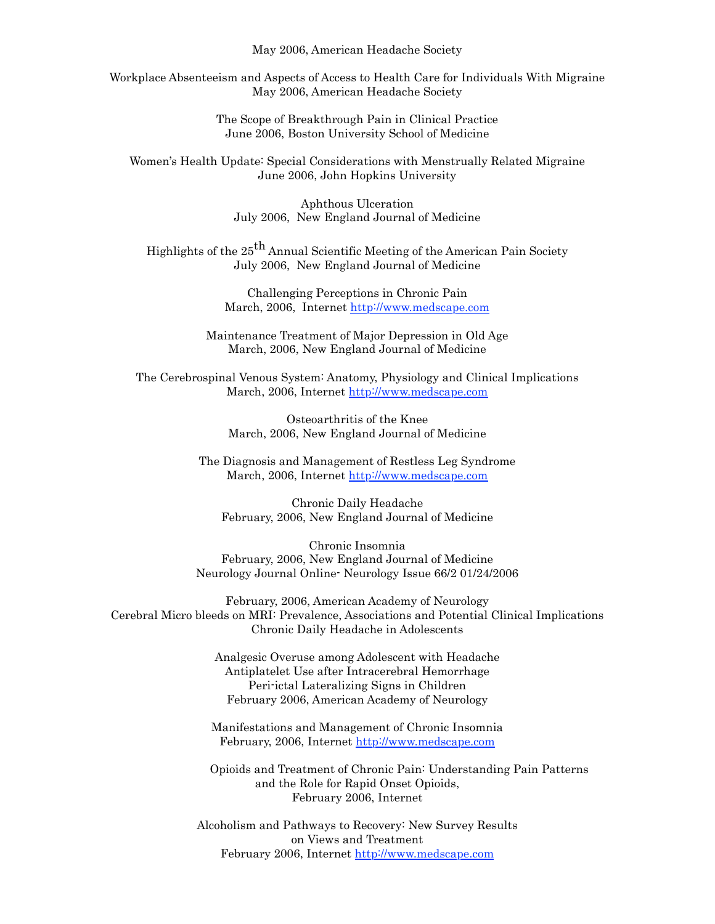May 2006, American Headache Society

Workplace Absenteeism and Aspects of Access to Health Care for Individuals With Migraine May 2006, American Headache Society

> The Scope of Breakthrough Pain in Clinical Practice June 2006, Boston University School of Medicine

Women's Health Update: Special Considerations with Menstrually Related Migraine June 2006, John Hopkins University

> Aphthous Ulceration July 2006, New England Journal of Medicine

Highlights of the 25<sup>th</sup> Annual Scientific Meeting of the American Pain Society July 2006, New England Journal of Medicine

> Challenging Perceptions in Chronic Pain March, 2006, Internet http://www.medscape.com

Maintenance Treatment of Major Depression in Old Age March, 2006, New England Journal of Medicine

The Cerebrospinal Venous System: Anatomy, Physiology and Clinical Implications March, 2006, Internet <http://www.medscape.com>

> Osteoarthritis of the Knee March, 2006, New England Journal of Medicine

The Diagnosis and Management of Restless Leg Syndrome March, 2006, Internet http://www.medscape.com

Chronic Daily Headache February, 2006, New England Journal of Medicine

Chronic Insomnia February, 2006, New England Journal of Medicine Neurology Journal Online- Neurology Issue 66/2 01/24/2006

February, 2006, American Academy of Neurology Cerebral Micro bleeds on MRI: Prevalence, Associations and Potential Clinical Implications Chronic Daily Headache in Adolescents

> Analgesic Overuse among Adolescent with Headache Antiplatelet Use after Intracerebral Hemorrhage Peri-ictal Lateralizing Signs in Children February 2006, American Academy of Neurology

Manifestations and Management of Chronic Insomnia February, 2006, Internet http://www.medscape.com

Opioids and Treatment of Chronic Pain: Understanding Pain Patterns and the Role for Rapid Onset Opioids, February 2006, Internet

Alcoholism and Pathways to Recovery: New Survey Results on Views and Treatment February 2006, Internet http://www.medscape.com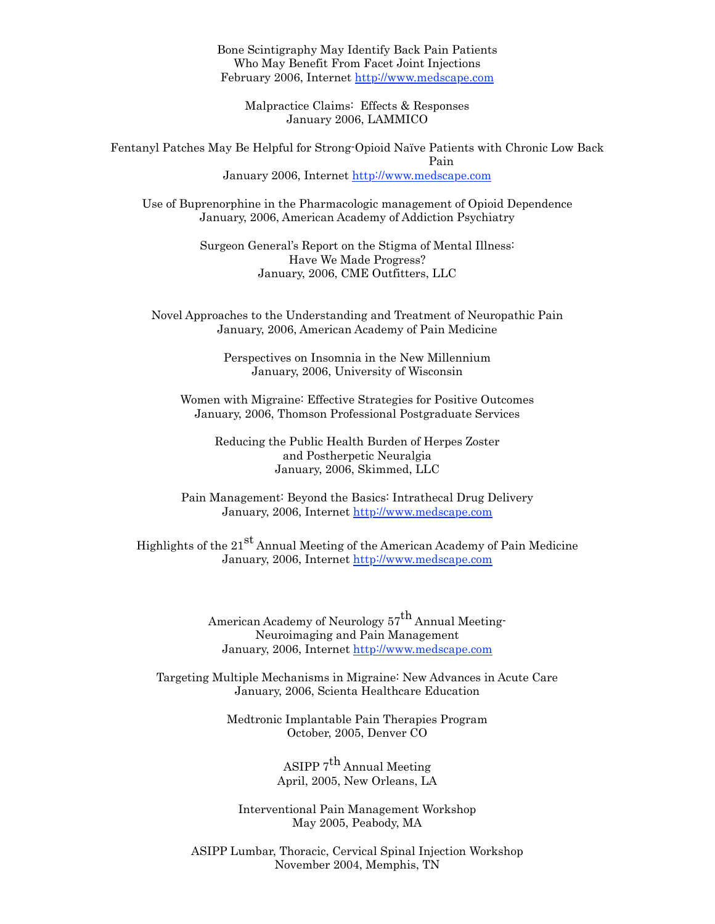Bone Scintigraphy May Identify Back Pain Patients Who May Benefit From Facet Joint Injections February 2006, Internet http://www.medscape.com

Malpractice Claims: Effects & Responses January 2006, LAMMICO

Fentanyl Patches May Be Helpful for Strong-Opioid Naïve Patients with Chronic Low Back Pain January 2006, Internet http://www.medscape.com

Use of Buprenorphine in the Pharmacologic management of Opioid Dependence January, 2006, American Academy of Addiction Psychiatry

> Surgeon General's Report on the Stigma of Mental Illness: Have We Made Progress? January, 2006, CME Outfitters, LLC

Novel Approaches to the Understanding and Treatment of Neuropathic Pain January, 2006, American Academy of Pain Medicine

> Perspectives on Insomnia in the New Millennium January, 2006, University of Wisconsin

Women with Migraine: Effective Strategies for Positive Outcomes January, 2006, Thomson Professional Postgraduate Services

Reducing the Public Health Burden of Herpes Zoster and Postherpetic Neuralgia January, 2006, Skimmed, LLC

Pain Management: Beyond the Basics: Intrathecal Drug Delivery January, 2006, Internet<http://www.medscape.com>

Highlights of the  $21^{st}$  Annual Meeting of the American Academy of Pain Medicine January, 2006, Internet<http://www.medscape.com>

> American Academy of Neurology  $57<sup>th</sup>$  Annual Meeting-Neuroimaging and Pain Management January, 2006, Internet http://www.medscape.com

Targeting Multiple Mechanisms in Migraine: New Advances in Acute Care January, 2006, Scienta Healthcare Education

> Medtronic Implantable Pain Therapies Program October, 2005, Denver CO

> > ASIPP  $7^{th}$  Annual Meeting April, 2005, New Orleans, LA

Interventional Pain Management Workshop May 2005, Peabody, MA

ASIPP Lumbar, Thoracic, Cervical Spinal Injection Workshop November 2004, Memphis, TN